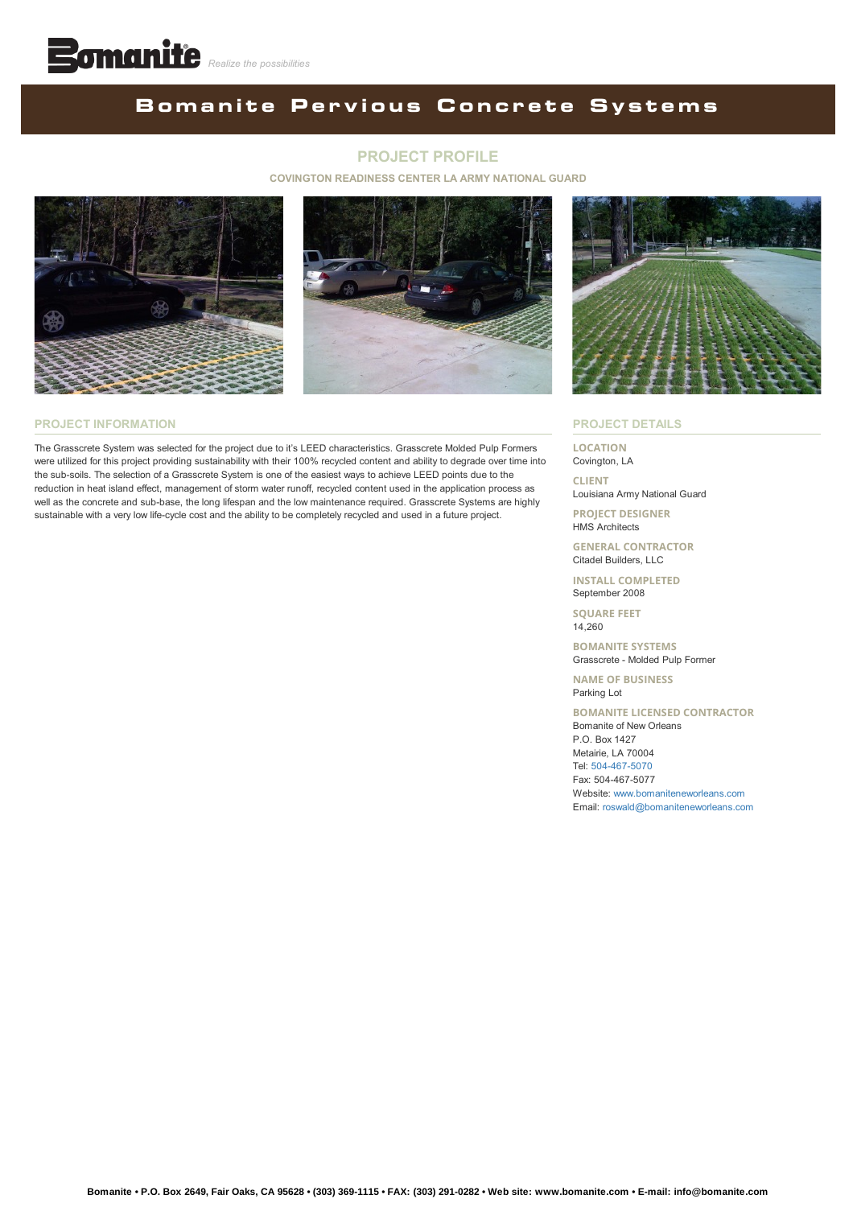## **BomanitePervious Concrete Systems**

#### **PROJECT PROFILE**

#### **COVINGTON READINESS CENTER LA ARMY NATIONAL GUARD**





#### **PROJECT INFORMATION**

The Grasscrete System was selected for the project due to it's LEED characteristics. Grasscrete Molded Pulp Formers were utilized for this project providing sustainability with their 100% recycled content and ability to degrade over time into the sub-soils. The selection of a Grasscrete System is one of the easiest ways to achieve LEED points due to the reduction in heat island effect, management of storm water runoff, recycled content used in the application process as well as the concrete and sub-base, the long lifespan and the low maintenance required. Grasscrete Systems are highly sustainable with a very low life-cycle cost and the ability to be completely recycled and used in a future project.



#### **PROJECT DETAILS**

**LOCATION** Covington, LA

**CLIENT** Louisiana Army National Guard

**PROJECT DESIGNER** HMS Architects

**GENERAL CONTRACTOR** Citadel Builders, LLC

**INSTALL COMPLETED** September 2008

**SQUARE FEET** 14,260

**BOMANITE SYSTEMS** Grasscrete - Molded Pulp Former

**NAME OF BUSINESS** Parking Lot

**BOMANITE LICENSED CONTRACTOR** Bomanite of New Orleans P.O. Box 1427 Metairie, LA 70004 Tel: [504-467-5070](tel:1-504-467-5070) Fax: 504-467-5077 Website: [www.bomaniteneworleans.com](http://www.bomaniteneworleans.com/) Email: [roswald@bomaniteneworleans.com](mailto:roswald@bomaniteneworleans.com?cc=info@bomanite.com&subject=I%20Need%20More%20Info%20About%20Project%20Profile:%20Covington%20Readiness%20Center%20LA%20Army%20National%20Guard)

**Bomanite • P.O. Box 2649, Fair Oaks, CA 95628 • (303) 369-1115 • FAX: (303) 291-0282 • Web site: www.bomanite.com • E-mail: info@bomanite.com**